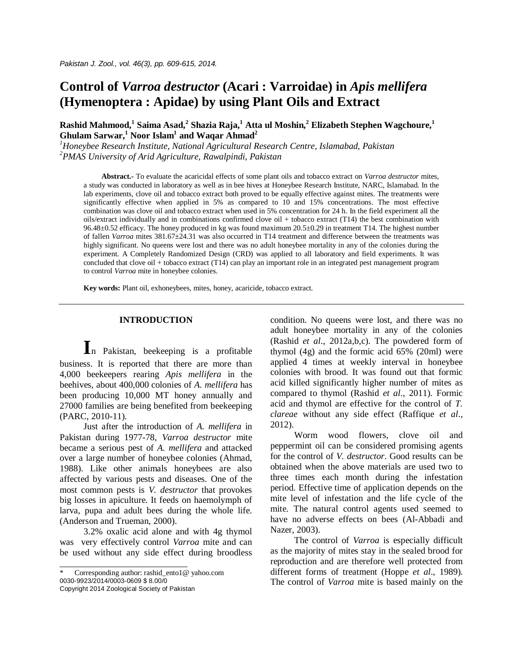# **Control of** *Varroa destructor* **(Acari : Varroidae) in** *Apis mellifera* **(Hymenoptera : Apidae) by using Plant Oils and Extract**

**Rashid Mahmood,<sup>1</sup> Saima Asad,<sup>2</sup> Shazia Raja,<sup>1</sup> Atta ul Moshin,<sup>2</sup> Elizabeth Stephen Wagchoure, 1 Ghulam Sarwar, <sup>1</sup> Noor Islam<sup>1</sup> and Waqar Ahmad<sup>2</sup>**

*<sup>1</sup>Honeybee Research Institute, National Agricultural Research Centre, Islamabad, Pakistan <sup>2</sup>PMAS University of Arid Agriculture, Rawalpindi, Pakistan*

**Abstract.-** To evaluate the acaricidal effects of some plant oils and tobacco extract on *Varroa destructor* mites, a study was conducted in laboratory as well as in bee hives at Honeybee Research Institute, NARC, Islamabad. In the lab experiments, clove oil and tobacco extract both proved to be equally effective against mites. The treatments were significantly effective when applied in 5% as compared to 10 and 15% concentrations. The most effective combination was clove oil and tobacco extract when used in 5% concentration for 24 h. In the field experiment all the oils/extract individually and in combinations confirmed clove oil + tobacco extract (T14) the best combination with 96.48±0.52 efficacy. The honey produced in kg was found maximum 20.5±0.29 in treatment T14. The highest number of fallen *Varroa* mites 381.67±24.31 was also occurred in T14 treatment and difference between the treatments was highly significant. No queens were lost and there was no adult honeybee mortality in any of the colonies during the experiment. A Completely Randomized Design (CRD) was applied to all laboratory and field experiments. It was concluded that clove oil + tobacco extract (T14) can play an important role in an integrated pest management program to control *Varroa* mite in honeybee colonies.

**Key words:** Plant oil, exhoneybees, mites, honey, acaricide, tobacco extract.

# **INTRODUCTION**

**I**n Pakistan, beekeeping is a profitable business. It is reported that there are more than 4,000 beekeepers rearing *Apis mellifera* in the beehives, about 400,000 colonies of *A. mellifera* has been producing 10,000 MT honey annually and 27000 families are being benefited from beekeeping (PARC, 2010-11).

Just after the introduction of *A. mellifera* in Pakistan during 1977-78, *Varroa destructor* mite became a serious pest of *A. mellifera* and attacked over a large number of honeybee colonies (Ahmad, 1988). Like other animals honeybees are also affected by various pests and diseases. One of the most common pests is *V. destructor* that provokes big losses in apiculture. It feeds on haemolymph of larva, pupa and adult bees during the whole life. (Anderson and Trueman, 2000).

3.2% oxalic acid alone and with 4g thymol was very effectively control *Varroa* mite and can be used without any side effect during broodless

\_\_\_\_\_\_\_\_\_\_\_\_\_\_\_\_\_\_\_\_\_\_\_\_\_\_\_\_

condition. No queens were lost, and there was no adult honeybee mortality in any of the colonies (Rashid *et al*., 2012a,b,c). The powdered form of thymol (4g) and the formic acid 65% (20ml) were applied 4 times at weekly interval in honeybee colonies with brood. It was found out that formic acid killed significantly higher number of mites as compared to thymol (Rashid *et al*., 2011). Formic acid and thymol are effective for the control of *T. clareae* without any side effect (Raffique *et al*., 2012).

Worm wood flowers, clove oil and peppermint oil can be considered promising agents for the control of *V. destructor*. Good results can be obtained when the above materials are used two to three times each month during the infestation period. Effective time of application depends on the mite level of infestation and the life cycle of the mite. The natural control agents used seemed to have no adverse effects on bees (Al-Abbadi and Nazer, 2003).

The control of *Varroa* is especially difficult as the majority of mites stay in the sealed brood for reproduction and are therefore well protected from different forms of treatment (Hoppe *et al*., 1989). The control of *Varroa* mite is based mainly on the

Corresponding author: rashid\_ento1@ yahoo.com 0030-9923/2014/0003-0609 \$ 8.00/0 Copyright 2014 Zoological Society of Pakistan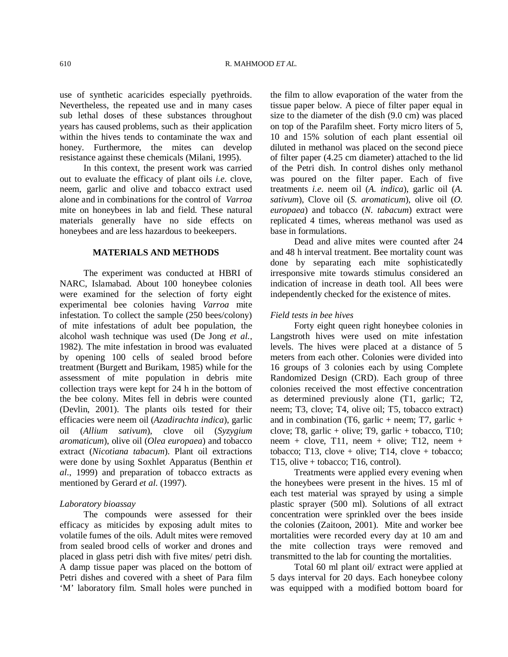use of synthetic acaricides especially pyethroids. Nevertheless, the repeated use and in many cases sub lethal doses of these substances throughout years has caused problems, such as their application within the hives tends to contaminate the wax and honey. Furthermore, the mites can develop resistance against these chemicals (Milani, 1995).

In this context, the present work was carried out to evaluate the efficacy of plant oils *i.e*. clove, neem, garlic and olive and tobacco extract used alone and in combinations for the control of *Varroa*  mite on honeybees in lab and field. These natural materials generally have no side effects on honeybees and are less hazardous to beekeepers.

## **MATERIALS AND METHODS**

The experiment was conducted at HBRI of NARC, Islamabad. About 100 honeybee colonies were examined for the selection of forty eight experimental bee colonies having *Varroa* mite infestation. To collect the sample (250 bees/colony) of mite infestations of adult bee population, the alcohol wash technique was used (De Jong *et al.,* 1982). The mite infestation in brood was evaluated by opening 100 cells of sealed brood before treatment (Burgett and Burikam, 1985) while for the assessment of mite population in debris mite collection trays were kept for 24 h in the bottom of the bee colony. Mites fell in debris were counted (Devlin, 2001). The plants oils tested for their efficacies were neem oil (*Azadirachta indica*), garlic oil (*Allium sativum*), clove oil (*Syzygium aromaticum*), olive oil (*Olea europaea*) and tobacco extract (*Nicotiana tabacum*). Plant oil extractions were done by using Soxhlet Apparatus (Benthin *et al*., 1999) and preparation of tobacco extracts as mentioned by Gerard *et al*. (1997).

# *Laboratory bioassay*

The compounds were assessed for their efficacy as miticides by exposing adult mites to volatile fumes of the oils. Adult mites were removed from sealed brood cells of worker and drones and placed in glass petri dish with five mites/ petri dish. A damp tissue paper was placed on the bottom of Petri dishes and covered with a sheet of Para film 'M' laboratory film. Small holes were punched in

the film to allow evaporation of the water from the tissue paper below. A piece of filter paper equal in size to the diameter of the dish (9.0 cm) was placed on top of the Parafilm sheet. Forty micro liters of 5, 10 and 15% solution of each plant essential oil diluted in methanol was placed on the second piece of filter paper (4.25 cm diameter) attached to the lid of the Petri dish. In control dishes only methanol was poured on the filter paper. Each of five treatments *i.e*. neem oil (*A. indica*), garlic oil (*A. sativum*), Clove oil (*S. aromaticum*), olive oil (*O. europaea*) and tobacco (*N. tabacum*) extract were replicated 4 times, whereas methanol was used as base in formulations.

Dead and alive mites were counted after 24 and 48 h interval treatment. Bee mortality count was done by separating each mite sophisticatedly irresponsive mite towards stimulus considered an indication of increase in death tool. All bees were independently checked for the existence of mites.

## *Field tests in bee hives*

Forty eight queen right honeybee colonies in Langstroth hives were used on mite infestation levels. The hives were placed at a distance of 5 meters from each other. Colonies were divided into 16 groups of 3 colonies each by using Complete Randomized Design (CRD). Each group of three colonies received the most effective concentration as determined previously alone (T1, garlic; T2, neem; T3, clove; T4, olive oil; T5, tobacco extract) and in combination (T6, garlic + neem; T7, garlic + clove; T8, garlic + olive; T9, garlic + tobacco, T10; neem + clove, T11, neem + olive; T12, neem + tobacco; T13, clove + olive; T14, clove + tobacco; T15, olive + tobacco; T16, control).

Treatments were applied every evening when the honeybees were present in the hives. 15 ml of each test material was sprayed by using a simple plastic sprayer (500 ml). Solutions of all extract concentration were sprinkled over the bees inside the colonies (Zaitoon, 2001). Mite and worker bee mortalities were recorded every day at 10 am and the mite collection trays were removed and transmitted to the lab for counting the mortalities.

Total 60 ml plant oil/ extract were applied at 5 days interval for 20 days. Each honeybee colony was equipped with a modified bottom board for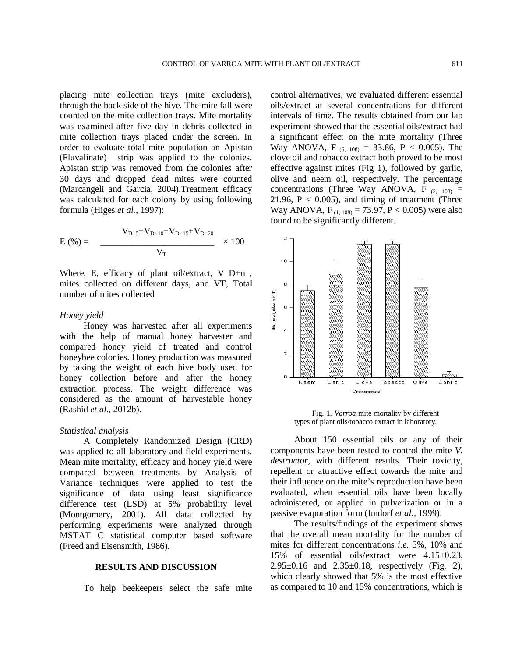placing mite collection trays (mite excluders), through the back side of the hive. The mite fall were counted on the mite collection trays. Mite mortality was examined after five day in debris collected in mite collection trays placed under the screen. In order to evaluate total mite population an Apistan (Fluvalinate) strip was applied to the colonies. Apistan strip was removed from the colonies after 30 days and dropped dead mites were counted (Marcangeli and Garcia, 2004).Treatment efficacy was calculated for each colony by using following formula (Higes *et al.*, 1997):

$$
E(\%) = \frac{V_{D+5} + V_{D+10} + V_{D+15} + V_{D+20}}{V_{T}} \times 100
$$

Where, E, efficacy of plant oil/extract, V D+n , mites collected on different days, and VT, Total number of mites collected

## *Honey yield*

Honey was harvested after all experiments with the help of manual honey harvester and compared honey yield of treated and control honeybee colonies. Honey production was measured by taking the weight of each hive body used for honey collection before and after the honey extraction process. The weight difference was considered as the amount of harvestable honey (Rashid *et al.,* 2012b).

#### *Statistical analysis*

A Completely Randomized Design (CRD) was applied to all laboratory and field experiments. Mean mite mortality, efficacy and honey yield were compared between treatments by Analysis of Variance techniques were applied to test the significance of data using least significance difference test (LSD) at 5% probability level (Montgomery, 2001). All data collected by performing experiments were analyzed through MSTAT C statistical computer based software (Freed and Eisensmith, 1986).

## **RESULTS AND DISCUSSION**

To help beekeepers select the safe mite

control alternatives, we evaluated different essential oils/extract at several concentrations for different intervals of time. The results obtained from our lab experiment showed that the essential oils/extract had a significant effect on the mite mortality (Three Way ANOVA, F<sub>(5, 108)</sub> = 33.86, P < 0.005). The clove oil and tobacco extract both proved to be most effective against mites (Fig 1), followed by garlic, olive and neem oil, respectively. The percentage concentrations (Three Way ANOVA, F  $(2, 108)$  = 21.96,  $P < 0.005$ ), and timing of treatment (Three Way ANOVA,  $F_{(1, 108)} = 73.97$ ,  $P < 0.005$ ) were also found to be significantly different.



Fig. 1. *Varroa* mite mortality by different types of plant oils/tobacco extract in laboratory.

About 150 essential oils or any of their components have been tested to control the mite *V. destructor*, with different results. Their toxicity, repellent or attractive effect towards the mite and their influence on the mite's reproduction have been evaluated, when essential oils have been locally administered, or applied in pulverization or in a passive evaporation form (Imdorf *et al.,* 1999).

The results/findings of the experiment shows that the overall mean mortality for the number of mites for different concentrations *i.e.* 5%, 10% and 15% of essential oils/extract were 4.15±0.23,  $2.95 \pm 0.16$  and  $2.35 \pm 0.18$ , respectively (Fig. 2), which clearly showed that 5% is the most effective as compared to 10 and 15% concentrations, which is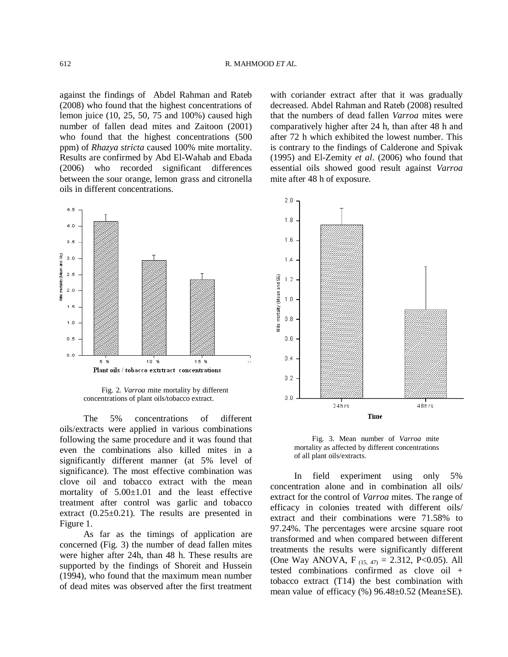against the findings of Abdel Rahman and Rateb (2008) who found that the highest concentrations of lemon juice (10, 25, 50, 75 and 100%) caused high number of fallen dead mites and Zaitoon (2001) who found that the highest concentrations (500 ppm) of *Rhazya stricta* caused 100% mite mortality. Results are confirmed by Abd El-Wahab and Ebada (2006) who recorded significant differences between the sour orange, lemon grass and citronella oils in different concentrations.



Fig. 2. *Varroa* mite mortality by different concentrations of plant oils/tobacco extract.

The 5% concentrations of different oils/extracts were applied in various combinations following the same procedure and it was found that even the combinations also killed mites in a significantly different manner (at 5% level of significance). The most effective combination was clove oil and tobacco extract with the mean mortality of 5.00±1.01 and the least effective treatment after control was garlic and tobacco extract  $(0.25\pm0.21)$ . The results are presented in Figure 1.

As far as the timings of application are concerned (Fig. 3) the number of dead fallen mites were higher after 24h, than 48 h. These results are supported by the findings of Shoreit and Hussein (1994), who found that the maximum mean number of dead mites was observed after the first treatment

with coriander extract after that it was gradually decreased. Abdel Rahman and Rateb (2008) resulted that the numbers of dead fallen *Varroa* mites were comparatively higher after 24 h, than after 48 h and after 72 h which exhibited the lowest number. This is contrary to the findings of Calderone and Spivak (1995) and El-Zemity *et al*. (2006) who found that essential oils showed good result against *Varroa* mite after 48 h of exposure.



Fig. 3. Mean number of *Varroa* mite mortality as affected by different concentrations of all plant oils/extracts.

In field experiment using only 5% concentration alone and in combination all oils/ extract for the control of *Varroa* mites. The range of efficacy in colonies treated with different oils/ extract and their combinations were 71.58% to 97.24%. The percentages were arcsine square root transformed and when compared between different treatments the results were significantly different (One Way ANOVA, F<sub>(15, 47)</sub> = 2.312, P<0.05). All tested combinations confirmed as clove oil + tobacco extract (T14) the best combination with mean value of efficacy (%) 96.48±0.52 (Mean±SE).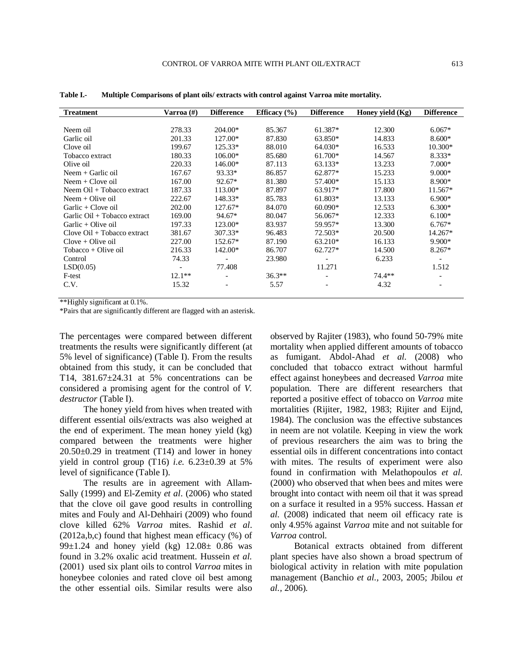| <b>Treatment</b>              | Varroa (#)               | <b>Difference</b>        | Efficacy $(\% )$ | <b>Difference</b>        | Honey yield $(Kg)$ | <b>Difference</b>        |
|-------------------------------|--------------------------|--------------------------|------------------|--------------------------|--------------------|--------------------------|
|                               |                          |                          |                  |                          |                    |                          |
| Neem oil                      | 278.33                   | 204.00*                  | 85.367           | 61.387*                  | 12.300             | $6.067*$                 |
| Garlic oil                    | 201.33                   | $127.00*$                | 87.830           | 63.850*                  | 14.833             | $8.600*$                 |
| Clove oil                     | 199.67                   | $125.33*$                | 88.010           | 64.030*                  | 16.533             | $10.300*$                |
| Tobacco extract               | 180.33                   | $106.00*$                | 85.680           | $61.700*$                | 14.567             | $8.333*$                 |
| Olive oil                     | 220.33                   | 146.00*                  | 87.113           | $63.133*$                | 13.233             | $7.000*$                 |
| Neem $+$ Garlic oil           | 167.67                   | 93.33*                   | 86.857           | 62.877*                  | 15.233             | $9.000*$                 |
| Neem $+$ Clove oil            | 167.00                   | $92.67*$                 | 81.380           | 57.400*                  | 15.133             | $8.900*$                 |
| Neem Oil + Tobacco extract    | 187.33                   | 113.00*                  | 87.897           | 63.917*                  | 17.800             | $11.567*$                |
| $N$ eem + Olive oil           | 222.67                   | 148.33*                  | 85.783           | $61.803*$                | 13.133             | $6.900*$                 |
| $Garlic + Clove oil$          | 202.00                   | 127.67*                  | 84.070           | $60.090*$                | 12.533             | $6.300*$                 |
| Garlic Oil + Tobacco extract  | 169.00                   | 94.67*                   | 80.047           | 56.067*                  | 12.333             | $6.100*$                 |
| Garlic + Olive oil            | 197.33                   | 123.00*                  | 83.937           | 59.957*                  | 13.300             | $6.767*$                 |
| $Clove$ Oil + Tobacco extract | 381.67                   | 307.33*                  | 96.483           | 72.503*                  | 20.500             | 14.267*                  |
| $Clove + Olive oil$           | 227.00                   | 152.67*                  | 87.190           | 63.210*                  | 16.133             | $9.900*$                 |
| Tobacco + Olive oil           | 216.33                   | 142.00*                  | 86.707           | $62.727*$                | 14.500             | $8.267*$                 |
| Control                       | 74.33                    | $\overline{\phantom{a}}$ | 23.980           | $\overline{\phantom{a}}$ | 6.233              | $\overline{\phantom{a}}$ |
| LSD(0.05)                     | $\overline{\phantom{a}}$ | 77.408                   |                  | 11.271                   |                    | 1.512                    |
| F-test                        | $12.1**$                 |                          | $36.3**$         |                          | $74.4**$           |                          |
| C.V.                          | 15.32                    |                          | 5.57             |                          | 4.32               |                          |
|                               |                          |                          |                  |                          |                    |                          |

**Table I.- Multiple Comparisons of plant oils/ extracts with control against Varroa mite mortality.**

\*\*Highly significant at 0.1%.

\*Pairs that are significantly different are flagged with an asterisk.

The percentages were compared between different treatments the results were significantly different (at 5% level of significance) (Table I). From the results obtained from this study, it can be concluded that T14, 381.67±24.31 at 5% concentrations can be considered a promising agent for the control of *V. destructor* (Table I).

The honey yield from hives when treated with different essential oils/extracts was also weighed at the end of experiment. The mean honey yield (kg) compared between the treatments were higher  $20.50\pm0.29$  in treatment (T14) and lower in honey yield in control group (T16) *i.e.* 6.23±0.39 at 5% level of significance (Table I).

The results are in agreement with Allam-Sally (1999) and El-Zemity *et al*. (2006) who stated that the clove oil gave good results in controlling mites and Fouly and Al-Dehhairi (2009) who found clove killed 62% *Varroa* mites. Rashid *et al*. (2012a,b,c) found that highest mean efficacy (%) of 99 $\pm$ 1.24 and honey yield (kg) 12.08 $\pm$  0.86 was found in 3.2% oxalic acid treatment. Hussein *et al.* (2001) used six plant oils to control *Varroa* mites in honeybee colonies and rated clove oil best among the other essential oils. Similar results were also observed by Rajiter (1983), who found 50-79% mite mortality when applied different amounts of tobacco as fumigant. Abdol-Ahad *et al.* (2008) who concluded that tobacco extract without harmful effect against honeybees and decreased *Varroa* mite population. There are different researchers that reported a positive effect of tobacco on *Varroa* mite mortalities (Rijiter, 1982, 1983; Rijiter and Eijnd, 1984). The conclusion was the effective substances in neem are not volatile. Keeping in view the work of previous researchers the aim was to bring the essential oils in different concentrations into contact with mites. The results of experiment were also found in confirmation with Melathopoulos *et al.* (2000) who observed that when bees and mites were brought into contact with neem oil that it was spread on a surface it resulted in a 95% success. Hassan *et al.* (2008) indicated that neem oil efficacy rate is only 4.95% against *Varroa* mite and not suitable for *Varroa* control.

Botanical extracts obtained from different plant species have also shown a broad spectrum of biological activity in relation with mite population management (Banchio *et al.,* 2003, 2005; Jbilou *et al.,* 2006).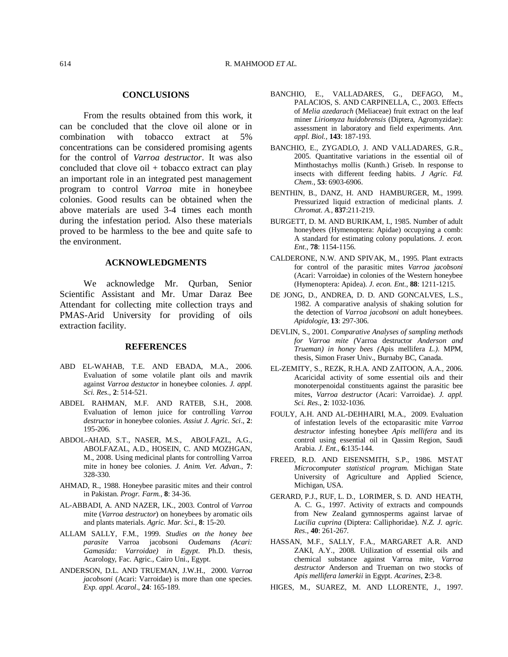# **CONCLUSIONS**

From the results obtained from this work, it can be concluded that the clove oil alone or in combination with tobacco extract at 5% concentrations can be considered promising agents for the control of *Varroa destructor*. It was also concluded that clove oil  $+$  tobacco extract can play an important role in an integrated pest management program to control *Varroa* mite in honeybee colonies. Good results can be obtained when the above materials are used 3-4 times each month during the infestation period. Also these materials proved to be harmless to the bee and quite safe to the environment.

## **ACKNOWLEDGMENTS**

We acknowledge Mr. Qurban, Senior Scientific Assistant and Mr. Umar Daraz Bee Attendant for collecting mite collection trays and PMAS-Arid University for providing of oils extraction facility.

# **REFERENCES**

- ABD EL-WAHAB, T.E. AND EBADA, M.A., 2006. Evaluation of some volatile plant oils and mavrik against *Varroa destuctor* in honeybee colonies. *J. appl. Sci. Res.,* **2**: 514-521.
- ABDEL RAHMAN, M.F. AND RATEB, S.H., 2008. Evaluation of lemon juice for controlling *Varroa destructor* in honeybee colonies. *Assiut J. Agric. Sci*., **2**: 195-206.
- ABDOL-AHAD, S.T., NASER, M.S., ABOLFAZL, A.G., ABOLFAZAL, A.D., HOSEIN, C. AND MOZHGAN, M., 2008. Using medicinal plants for controlling Varroa mite in honey bee colonies. *J. Anim. Vet. Advan*., **7**: 328-330.
- AHMAD, R., 1988. Honeybee parasitic mites and their control in Pakistan. *Progr. Farm.*, **8**: 34-36.
- AL-ABBADI, A. AND NAZER, I.K., 2003. Control of *Varroa* mite (*Varroa destructor*) on honeybees by aromatic oils and plants materials. *Agric. Mar. Sci*., **8**: 15-20.
- ALLAM SALLY, F.M., 1999. *Studies on the honey bee parasite* Varroa jacobsoni *Oudemans (Acari: Gamasida: Varroidae) in Egypt*. Ph.D. thesis, Acarology, Fac. Agric., Cairo Uni., Egypt.
- ANDERSON, D.L. AND TRUEMAN, J.W.H., 2000. *Varroa jacobsoni* (Acari: Varroidae) is more than one species. *Exp. appl. Acarol*., **24**: 165-189.
- BANCHIO, E., VALLADARES, G., DEFAGO, M., PALACIOS, S. AND CARPINELLA, C., 2003. Effects of *Melia azedarach* (Meliaceae) fruit extract on the leaf miner *Liriomyza huidobrensis* (Diptera, Agromyzidae): assessment in laboratory and field experiments. *Ann. appl. Biol.,* **143**: 187-193.
- BANCHIO, E., ZYGADLO, J. AND VALLADARES, G.R., 2005. Quantitative variations in the essential oil of Minthostachys mollis (Kunth.) Griseb. In response to insects with different feeding habits. *J Agric. Fd. Chem*., **53**: 6903-6906.
- BENTHIN, B., DANZ, H. AND HAMBURGER, M., 1999. Pressurized liquid extraction of medicinal plants. *J. Chromat. A.,* **837**:211-219.
- BURGETT, D. M. AND BURIKAM, I., 1985. Number of adult honeybees (Hymenoptera: Apidae) occupying a comb: A standard for estimating colony populations. *J. econ. Ent*., **78**: 1154-1156.
- CALDERONE, N.W. AND SPIVAK, M., 1995. Plant extracts for control of the parasitic mites *Varroa jacobsoni*  (Acari: Varroidae) in colonies of the Western honeybee (Hymenoptera: Apidea). *J. econ. Ent*., **88**: 1211-1215.
- DE JONG, D., ANDREA, D. D. AND GONCALVES, L.S., 1982. A comparative analysis of shaking solution for the detection of *Varroa jacobsoni* on adult honeybees. *Apidologie*, **13**: 297-306.
- DEVLIN, S., 2001. *Comparative Analyses of sampling methods for Varroa mite (*Varroa destructor *Anderson and Trueman) in honey bees (*Apis mellifera *L.)*. MPM, thesis, Simon Fraser Univ., Burnaby BC, Canada.
- EL-ZEMITY, S., REZK, R.H.A. AND ZAITOON, A.A., 2006. Acaricidal activity of some essential oils and their monoterpenoidal constituents against the parasitic bee mites, *Varroa destructor* (Acari: Varroidae). *J. appl. Sci. Res*., **2**: 1032-1036.
- FOULY, A.H. AND AL-DEHHAIRI, M.A., 2009. Evaluation of infestation levels of the ectoparasitic mite *Varroa destructor* infesting honeybee *Apis mellifera* and its control using essential oil in Qassim Region, Saudi Arabia. *J. Ent*., **6**:135-144.
- FREED, R.D. AND EISENSMITH, S.P., 1986. MSTAT *Microcomputer statistical program*. Michigan State University of Agriculture and Applied Science, Michigan, USA.
- GERARD, P.J., RUF, L. D., LORIMER, S. D. AND HEATH, A. C. G., 1997. Activity of extracts and compounds from New Zealand gymnosperms against larvae of *Lucilia cuprina* (Diptera: Calliphoridae). *N.Z. J. agric. Res*., **40**: 261-267.
- HASSAN, M.F., SALLY, F.A., MARGARET A.R. AND ZAKI, A.Y., 2008. Utilization of essential oils and chemical substance against Varroa mite, *Varroa destructor* Anderson and Trueman on two stocks of *Apis mellifera lamerkii* in Egypt. *Acarines*, **2**:3-8.
- HIGES, M., SUAREZ, M. AND LLORENTE, J., 1997.